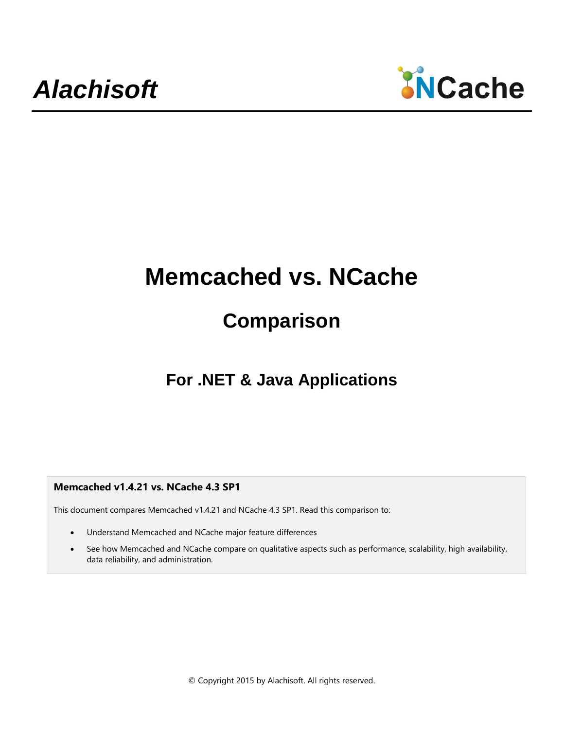

# **Memcached vs. NCache**

# **Comparison**

# **For .NET & Java Applications**

**Memcached v1.4.21 vs. NCache 4.3 SP1**

This document compares Memcached v1.4.21 and NCache 4.3 SP1. Read this comparison to:

- Understand Memcached and NCache major feature differences
- See how Memcached and NCache compare on qualitative aspects such as performance, scalability, high availability, data reliability, and administration.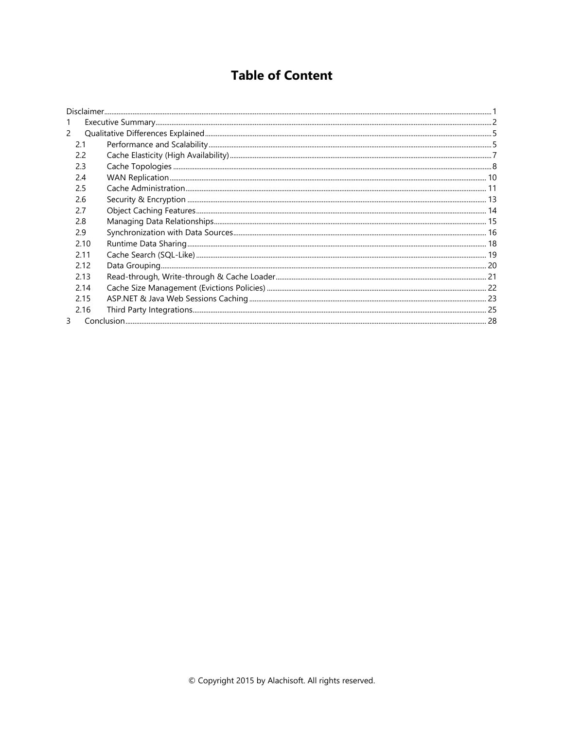# **Table of Content**

| $\mathcal{P}$ |  |
|---------------|--|
| 2.1           |  |
| 2.2           |  |
| 2.3           |  |
| 2.4           |  |
| 2.5           |  |
| 2.6           |  |
| 27            |  |
| 2.8           |  |
| 2.9           |  |
| 2.10          |  |
| 2.11          |  |
| 2.12          |  |
| 2.13          |  |
| 2.14          |  |
| 2.15          |  |
| 2.16          |  |
| ₹             |  |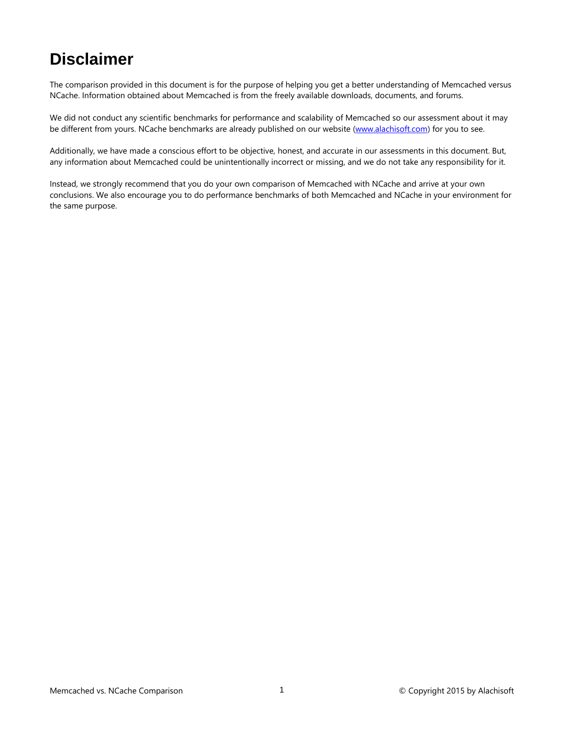# <span id="page-2-0"></span>**Disclaimer**

The comparison provided in this document is for the purpose of helping you get a better understanding of Memcached versus NCache. Information obtained about Memcached is from the freely available downloads, documents, and forums.

We did not conduct any scientific benchmarks for performance and scalability of Memcached so our assessment about it may be different from yours. NCache benchmarks are already published on our website [\(www.alachisoft.com\)](http://www.alachisoft.com/) for you to see.

Additionally, we have made a conscious effort to be objective, honest, and accurate in our assessments in this document. But, any information about Memcached could be unintentionally incorrect or missing, and we do not take any responsibility for it.

Instead, we strongly recommend that you do your own comparison of Memcached with NCache and arrive at your own conclusions. We also encourage you to do performance benchmarks of both Memcached and NCache in your environment for the same purpose.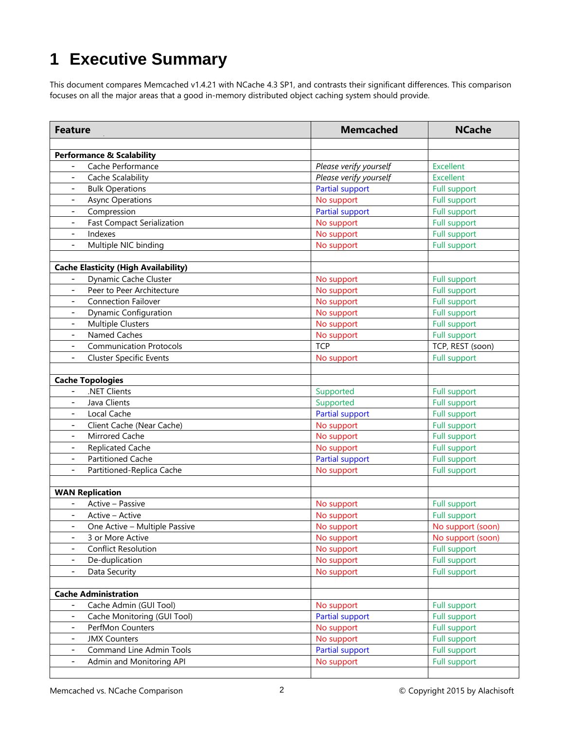# <span id="page-3-0"></span>**1 Executive Summary**

This document compares Memcached v1.4.21 with NCache 4.3 SP1, and contrasts their significant differences. This comparison focuses on all the major areas that a good in-memory distributed object caching system should provide.

| <b>Feature</b>                                             |                               | <b>Memcached</b>       | <b>NCache</b>       |
|------------------------------------------------------------|-------------------------------|------------------------|---------------------|
|                                                            |                               |                        |                     |
| <b>Performance &amp; Scalability</b>                       |                               |                        |                     |
| Cache Performance                                          |                               | Please verify yourself | Excellent           |
| Cache Scalability<br>$\blacksquare$                        |                               | Please verify yourself | Excellent           |
| <b>Bulk Operations</b><br>$\blacksquare$                   |                               | Partial support        | <b>Full support</b> |
| <b>Async Operations</b>                                    |                               | No support             | <b>Full support</b> |
| Compression                                                |                               | Partial support        | <b>Full support</b> |
| <b>Fast Compact Serialization</b>                          |                               | No support             | <b>Full support</b> |
| Indexes                                                    |                               | No support             | <b>Full support</b> |
| Multiple NIC binding                                       |                               | No support             | <b>Full support</b> |
| <b>Cache Elasticity (High Availability)</b>                |                               |                        |                     |
| Dynamic Cache Cluster                                      |                               | No support             | <b>Full support</b> |
| Peer to Peer Architecture                                  |                               | No support             | <b>Full support</b> |
| <b>Connection Failover</b>                                 |                               | No support             | <b>Full support</b> |
| <b>Dynamic Configuration</b><br>$\overline{\phantom{a}}$   |                               | No support             | <b>Full support</b> |
| <b>Multiple Clusters</b><br>$\overline{\phantom{a}}$       |                               | No support             | <b>Full support</b> |
| Named Caches<br>$\overline{\phantom{a}}$                   |                               | No support             | <b>Full support</b> |
| <b>Communication Protocols</b>                             |                               | <b>TCP</b>             | TCP, REST (soon)    |
| <b>Cluster Specific Events</b><br>$\overline{\phantom{a}}$ |                               | No support             | <b>Full support</b> |
|                                                            |                               |                        |                     |
| <b>Cache Topologies</b>                                    |                               |                        |                     |
| .NET Clients<br>$\overline{\phantom{a}}$                   |                               | Supported              | <b>Full support</b> |
| Java Clients<br>$\overline{\phantom{a}}$                   |                               | Supported              | <b>Full support</b> |
| Local Cache<br>$\overline{\phantom{0}}$                    |                               | Partial support        | <b>Full support</b> |
| Client Cache (Near Cache)<br>$\overline{\phantom{a}}$      |                               | No support             | <b>Full support</b> |
| Mirrored Cache<br>$\overline{\phantom{a}}$                 |                               | No support             | <b>Full support</b> |
| <b>Replicated Cache</b><br>$\overline{\phantom{a}}$        |                               | No support             | <b>Full support</b> |
| <b>Partitioned Cache</b><br>$\blacksquare$                 |                               | <b>Partial support</b> | <b>Full support</b> |
| Partitioned-Replica Cache<br>$\blacksquare$                |                               | No support             | <b>Full support</b> |
|                                                            |                               |                        |                     |
| <b>WAN Replication</b>                                     |                               |                        |                     |
| Active - Passive                                           |                               | No support             | <b>Full support</b> |
| Active - Active                                            |                               | No support             | <b>Full support</b> |
|                                                            | One Active - Multiple Passive | No support             | No support (soon)   |
| 3 or More Active                                           |                               | No support             | No support (soon)   |
| <b>Conflict Resolution</b>                                 |                               | No support             | <b>Full support</b> |
| De-duplication<br>$\overline{\phantom{a}}$                 |                               | No support             | <b>Full support</b> |
| Data Security                                              |                               | No support             | <b>Full support</b> |
|                                                            |                               |                        |                     |
| <b>Cache Administration</b>                                |                               |                        |                     |
| Cache Admin (GUI Tool)                                     |                               | No support             | <b>Full support</b> |
| $\overline{\phantom{a}}$                                   | Cache Monitoring (GUI Tool)   | Partial support        | Full support        |
| PerfMon Counters<br>$\overline{\phantom{a}}$               |                               | No support             | <b>Full support</b> |
| <b>JMX Counters</b><br>$\overline{\phantom{a}}$            |                               | No support             | Full support        |
| $\overline{\phantom{a}}$                                   | Command Line Admin Tools      | Partial support        | <b>Full support</b> |
| Admin and Monitoring API<br>$\overline{\phantom{a}}$       |                               | No support             | Full support        |
|                                                            |                               |                        |                     |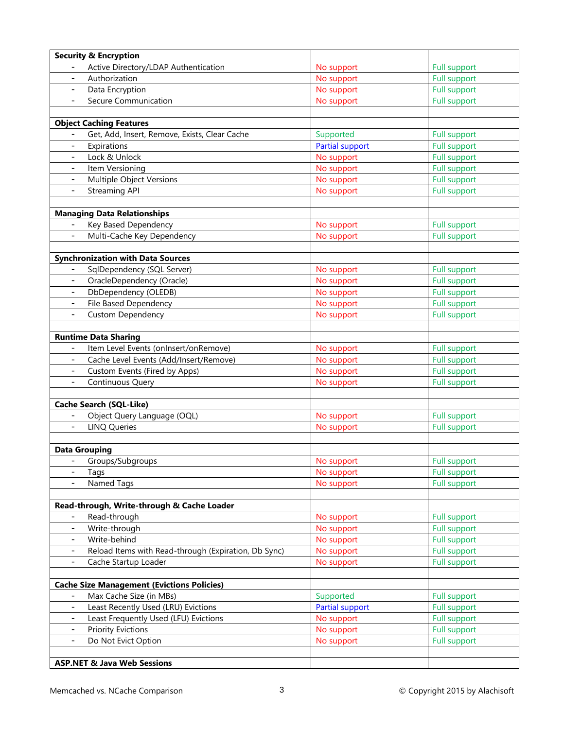| <b>Security &amp; Encryption</b>                                   |                 |                     |
|--------------------------------------------------------------------|-----------------|---------------------|
| Active Directory/LDAP Authentication                               | No support      | <b>Full support</b> |
| Authorization<br>$\overline{\phantom{a}}$                          | No support      | <b>Full support</b> |
| Data Encryption<br>$\overline{\phantom{a}}$                        | No support      | <b>Full support</b> |
| Secure Communication<br>$\overline{\phantom{a}}$                   | No support      | <b>Full support</b> |
|                                                                    |                 |                     |
| <b>Object Caching Features</b>                                     |                 |                     |
| Get, Add, Insert, Remove, Exists, Clear Cache                      | Supported       | <b>Full support</b> |
| Expirations<br>$\overline{\phantom{a}}$                            | Partial support | <b>Full support</b> |
| Lock & Unlock<br>$\blacksquare$                                    | No support      | <b>Full support</b> |
| Item Versioning<br>$\blacksquare$                                  | No support      | <b>Full support</b> |
| Multiple Object Versions<br>$\blacksquare$                         | No support      | <b>Full support</b> |
| <b>Streaming API</b>                                               | No support      | <b>Full support</b> |
|                                                                    |                 |                     |
| <b>Managing Data Relationships</b>                                 |                 |                     |
| Key Based Dependency                                               | No support      | <b>Full support</b> |
| Multi-Cache Key Dependency                                         | No support      | <b>Full support</b> |
|                                                                    |                 |                     |
| <b>Synchronization with Data Sources</b>                           |                 |                     |
| SqlDependency (SQL Server)                                         | No support      | <b>Full support</b> |
| OracleDependency (Oracle)                                          | No support      | <b>Full support</b> |
| DbDependency (OLEDB)                                               | No support      | <b>Full support</b> |
| File Based Dependency<br>$\overline{\phantom{a}}$                  | No support      | <b>Full support</b> |
| <b>Custom Dependency</b>                                           | No support      | <b>Full support</b> |
| <b>Runtime Data Sharing</b>                                        |                 |                     |
| Item Level Events (onInsert/onRemove)                              | No support      | Full support        |
| Cache Level Events (Add/Insert/Remove)<br>$\overline{\phantom{a}}$ | No support      | <b>Full support</b> |
| Custom Events (Fired by Apps)<br>$\overline{\phantom{a}}$          | No support      | Full support        |
| Continuous Query<br>$\overline{\phantom{a}}$                       | No support      | <b>Full support</b> |
|                                                                    |                 |                     |
| <b>Cache Search (SQL-Like)</b>                                     |                 |                     |
| Object Query Language (OQL)                                        | No support      | <b>Full support</b> |
| <b>LINQ Queries</b><br>$-$                                         | No support      | <b>Full support</b> |
| <b>Data Grouping</b>                                               |                 |                     |
| - Groups/Subgroups                                                 | No support      | <b>Full support</b> |
| $\overline{\phantom{a}}$<br>Tags                                   | No support      | <b>Full support</b> |
| Named Tags<br>$\blacksquare$                                       | No support      | Full support        |
|                                                                    |                 |                     |
| Read-through, Write-through & Cache Loader                         |                 |                     |
| Read-through                                                       | No support      | Full support        |
| Write-through                                                      | No support      | Full support        |
| Write-behind                                                       | No support      | Full support        |
| Reload Items with Read-through (Expiration, Db Sync)               | No support      | Full support        |
| Cache Startup Loader                                               | No support      | Full support        |
|                                                                    |                 |                     |
| <b>Cache Size Management (Evictions Policies)</b>                  |                 |                     |
| Max Cache Size (in MBs)                                            | Supported       | Full support        |
| Least Recently Used (LRU) Evictions<br>$\overline{\phantom{a}}$    | Partial support | Full support        |
| Least Frequently Used (LFU) Evictions<br>$\overline{\phantom{a}}$  | No support      | Full support        |
| <b>Priority Evictions</b><br>$\overline{\phantom{a}}$              | No support      | Full support        |
| Do Not Evict Option<br>$\overline{\phantom{a}}$                    | No support      | Full support        |
|                                                                    |                 |                     |
| <b>ASP.NET &amp; Java Web Sessions</b>                             |                 |                     |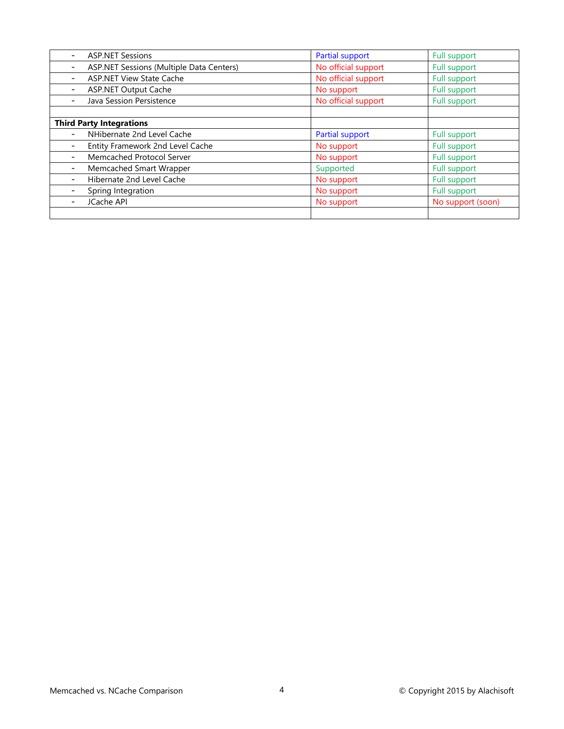| <b>ASP.NET Sessions</b>                               | Partial support        | Full support        |
|-------------------------------------------------------|------------------------|---------------------|
| ASP.NET Sessions (Multiple Data Centers)              | No official support    | Full support        |
| <b>ASP.NET View State Cache</b>                       | No official support    | Full support        |
| <b>ASP.NET Output Cache</b>                           | No support             | Full support        |
| Java Session Persistence                              | No official support    | Full support        |
| <b>Third Party Integrations</b>                       |                        |                     |
| NHibernate 2nd Level Cache                            | <b>Partial support</b> | Full support        |
| Entity Framework 2nd Level Cache                      | No support             | Full support        |
| Memcached Protocol Server<br>$\overline{\phantom{a}}$ | No support             | Full support        |
| Memcached Smart Wrapper                               | Supported              | Full support        |
| Hibernate 2nd Level Cache                             | No support             | Full support        |
| Spring Integration                                    | No support             | <b>Full support</b> |
| JCache API                                            | No support             | No support (soon)   |
|                                                       |                        |                     |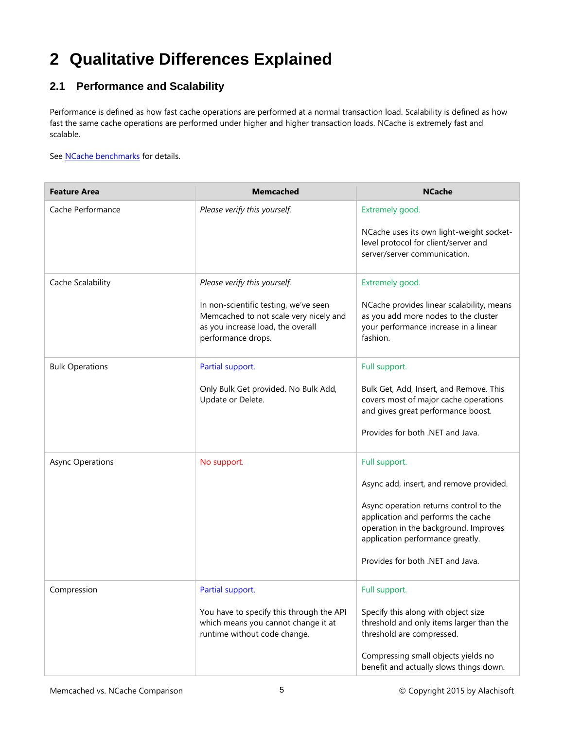# <span id="page-6-0"></span>**2 Qualitative Differences Explained**

# <span id="page-6-1"></span>**2.1 Performance and Scalability**

Performance is defined as how fast cache operations are performed at a normal transaction load. Scalability is defined as how fast the same cache operations are performed under higher and higher transaction loads. NCache is extremely fast and scalable.

See **NCache benchmarks** for details.

| <b>Feature Area</b>     | <b>Memcached</b>                                                                                                                                                           | <b>NCache</b>                                                                                                                                                                                                                                             |
|-------------------------|----------------------------------------------------------------------------------------------------------------------------------------------------------------------------|-----------------------------------------------------------------------------------------------------------------------------------------------------------------------------------------------------------------------------------------------------------|
| Cache Performance       | Please verify this yourself.                                                                                                                                               | Extremely good.<br>NCache uses its own light-weight socket-<br>level protocol for client/server and<br>server/server communication.                                                                                                                       |
| Cache Scalability       | Please verify this yourself.<br>In non-scientific testing, we've seen<br>Memcached to not scale very nicely and<br>as you increase load, the overall<br>performance drops. | Extremely good.<br>NCache provides linear scalability, means<br>as you add more nodes to the cluster<br>your performance increase in a linear<br>fashion.                                                                                                 |
| <b>Bulk Operations</b>  | Partial support.<br>Only Bulk Get provided. No Bulk Add,<br>Update or Delete.                                                                                              | Full support.<br>Bulk Get, Add, Insert, and Remove. This<br>covers most of major cache operations<br>and gives great performance boost.<br>Provides for both .NET and Java.                                                                               |
| <b>Async Operations</b> | No support.                                                                                                                                                                | Full support.<br>Async add, insert, and remove provided.<br>Async operation returns control to the<br>application and performs the cache<br>operation in the background. Improves<br>application performance greatly.<br>Provides for both .NET and Java. |
| Compression             | Partial support.<br>You have to specify this through the API<br>which means you cannot change it at<br>runtime without code change.                                        | Full support.<br>Specify this along with object size<br>threshold and only items larger than the<br>threshold are compressed.<br>Compressing small objects yields no<br>benefit and actually slows things down.                                           |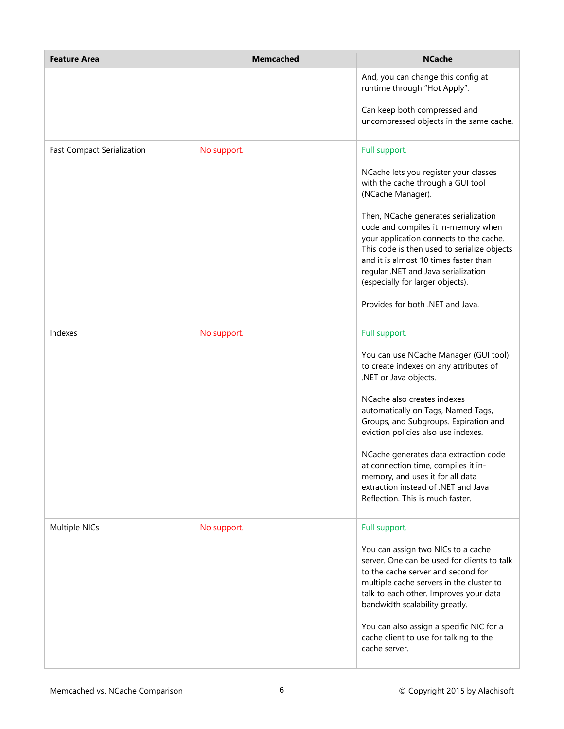| <b>Feature Area</b>               | <b>Memcached</b> | <b>NCache</b>                                                                                                                                                                                                                                                                             |
|-----------------------------------|------------------|-------------------------------------------------------------------------------------------------------------------------------------------------------------------------------------------------------------------------------------------------------------------------------------------|
|                                   |                  | And, you can change this config at<br>runtime through "Hot Apply".                                                                                                                                                                                                                        |
|                                   |                  | Can keep both compressed and<br>uncompressed objects in the same cache.                                                                                                                                                                                                                   |
| <b>Fast Compact Serialization</b> | No support.      | Full support.                                                                                                                                                                                                                                                                             |
|                                   |                  | NCache lets you register your classes<br>with the cache through a GUI tool<br>(NCache Manager).                                                                                                                                                                                           |
|                                   |                  | Then, NCache generates serialization<br>code and compiles it in-memory when<br>your application connects to the cache.<br>This code is then used to serialize objects<br>and it is almost 10 times faster than<br>regular .NET and Java serialization<br>(especially for larger objects). |
|                                   |                  | Provides for both .NET and Java.                                                                                                                                                                                                                                                          |
| Indexes                           | No support.      | Full support.                                                                                                                                                                                                                                                                             |
|                                   |                  | You can use NCache Manager (GUI tool)<br>to create indexes on any attributes of<br>.NET or Java objects.                                                                                                                                                                                  |
|                                   |                  | NCache also creates indexes<br>automatically on Tags, Named Tags,<br>Groups, and Subgroups. Expiration and<br>eviction policies also use indexes.                                                                                                                                         |
|                                   |                  | NCache generates data extraction code<br>at connection time, compiles it in-<br>memory, and uses it for all data<br>extraction instead of .NET and Java<br>Reflection. This is much faster.                                                                                               |
| Multiple NICs                     | No support.      | Full support.                                                                                                                                                                                                                                                                             |
|                                   |                  | You can assign two NICs to a cache<br>server. One can be used for clients to talk<br>to the cache server and second for<br>multiple cache servers in the cluster to<br>talk to each other. Improves your data<br>bandwidth scalability greatly.                                           |
|                                   |                  | You can also assign a specific NIC for a<br>cache client to use for talking to the<br>cache server.                                                                                                                                                                                       |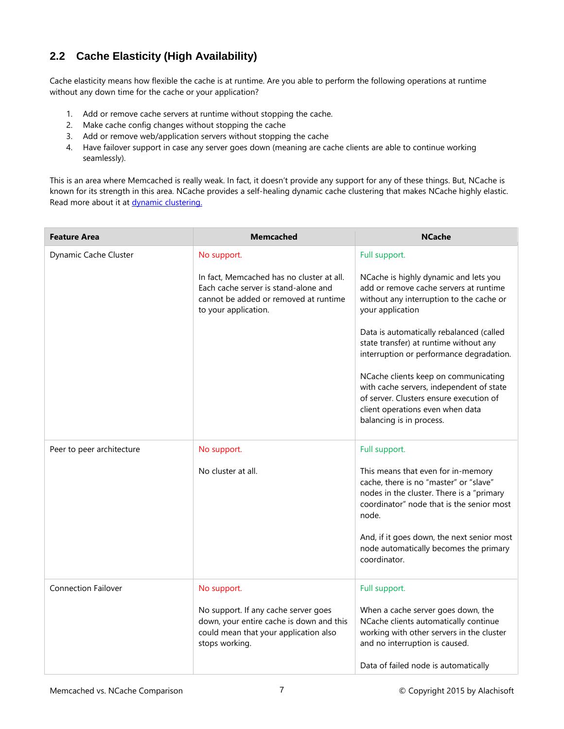# <span id="page-8-0"></span>**2.2 Cache Elasticity (High Availability)**

Cache elasticity means how flexible the cache is at runtime. Are you able to perform the following operations at runtime without any down time for the cache or your application?

- 1. Add or remove cache servers at runtime without stopping the cache.
- 2. Make cache config changes without stopping the cache
- 3. Add or remove web/application servers without stopping the cache
- 4. Have failover support in case any server goes down (meaning are cache clients are able to continue working seamlessly).

This is an area where Memcached is really weak. In fact, it doesn't provide any support for any of these things. But, NCache is known for its strength in this area. NCache provides a self-healing dynamic cache clustering that makes NCache highly elastic. Read more about it at **dynamic clustering**.

| <b>Feature Area</b>        | <b>Memcached</b>                                                                                                                                   | <b>NCache</b>                                                                                                                                                                               |
|----------------------------|----------------------------------------------------------------------------------------------------------------------------------------------------|---------------------------------------------------------------------------------------------------------------------------------------------------------------------------------------------|
| Dynamic Cache Cluster      | No support.                                                                                                                                        | Full support.                                                                                                                                                                               |
|                            | In fact, Memcached has no cluster at all.<br>Each cache server is stand-alone and<br>cannot be added or removed at runtime<br>to your application. | NCache is highly dynamic and lets you<br>add or remove cache servers at runtime<br>without any interruption to the cache or<br>your application                                             |
|                            |                                                                                                                                                    | Data is automatically rebalanced (called<br>state transfer) at runtime without any<br>interruption or performance degradation.                                                              |
|                            |                                                                                                                                                    | NCache clients keep on communicating<br>with cache servers, independent of state<br>of server. Clusters ensure execution of<br>client operations even when data<br>balancing is in process. |
| Peer to peer architecture  | No support.                                                                                                                                        | Full support.                                                                                                                                                                               |
|                            | No cluster at all.                                                                                                                                 | This means that even for in-memory<br>cache, there is no "master" or "slave"<br>nodes in the cluster. There is a "primary<br>coordinator" node that is the senior most<br>node.             |
|                            |                                                                                                                                                    | And, if it goes down, the next senior most<br>node automatically becomes the primary<br>coordinator.                                                                                        |
| <b>Connection Failover</b> | No support.                                                                                                                                        | Full support.                                                                                                                                                                               |
|                            | No support. If any cache server goes<br>down, your entire cache is down and this<br>could mean that your application also<br>stops working.        | When a cache server goes down, the<br>NCache clients automatically continue<br>working with other servers in the cluster<br>and no interruption is caused.                                  |
|                            |                                                                                                                                                    | Data of failed node is automatically                                                                                                                                                        |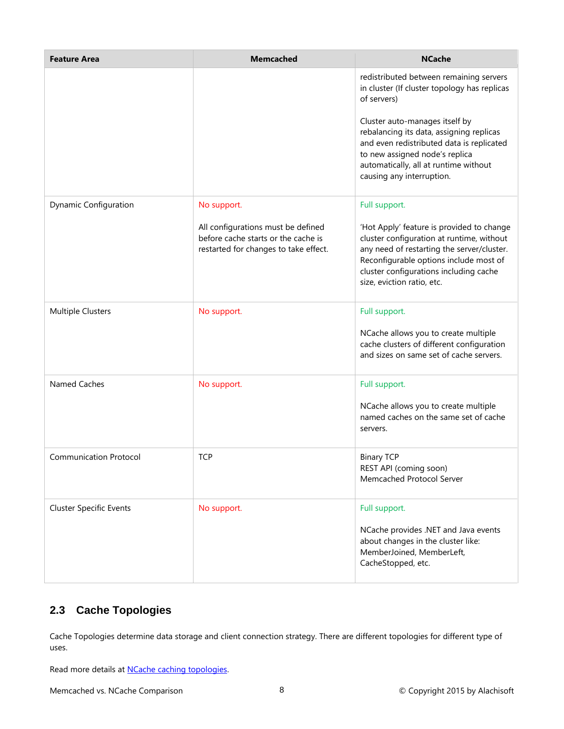| <b>Feature Area</b>            | <b>Memcached</b>                                                                                                   | <b>NCache</b>                                                                                                                                                                                                                                          |
|--------------------------------|--------------------------------------------------------------------------------------------------------------------|--------------------------------------------------------------------------------------------------------------------------------------------------------------------------------------------------------------------------------------------------------|
|                                |                                                                                                                    | redistributed between remaining servers<br>in cluster (If cluster topology has replicas<br>of servers)                                                                                                                                                 |
|                                |                                                                                                                    | Cluster auto-manages itself by<br>rebalancing its data, assigning replicas<br>and even redistributed data is replicated<br>to new assigned node's replica<br>automatically, all at runtime without<br>causing any interruption.                        |
| <b>Dynamic Configuration</b>   | No support.                                                                                                        | Full support.                                                                                                                                                                                                                                          |
|                                | All configurations must be defined<br>before cache starts or the cache is<br>restarted for changes to take effect. | 'Hot Apply' feature is provided to change<br>cluster configuration at runtime, without<br>any need of restarting the server/cluster.<br>Reconfigurable options include most of<br>cluster configurations including cache<br>size, eviction ratio, etc. |
| <b>Multiple Clusters</b>       | No support.                                                                                                        | Full support.                                                                                                                                                                                                                                          |
|                                |                                                                                                                    | NCache allows you to create multiple<br>cache clusters of different configuration<br>and sizes on same set of cache servers.                                                                                                                           |
| Named Caches                   | No support.                                                                                                        | Full support.                                                                                                                                                                                                                                          |
|                                |                                                                                                                    | NCache allows you to create multiple<br>named caches on the same set of cache<br>servers.                                                                                                                                                              |
| <b>Communication Protocol</b>  | <b>TCP</b>                                                                                                         | <b>Binary TCP</b><br>REST API (coming soon)<br>Memcached Protocol Server                                                                                                                                                                               |
| <b>Cluster Specific Events</b> | No support.                                                                                                        | Full support.<br>NCache provides .NET and Java events<br>about changes in the cluster like:<br>MemberJoined, MemberLeft,<br>CacheStopped, etc.                                                                                                         |

# <span id="page-9-0"></span>**2.3 Cache Topologies**

Cache Topologies determine data storage and client connection strategy. There are different topologies for different type of uses.

Read more details at **NCache caching topologies**.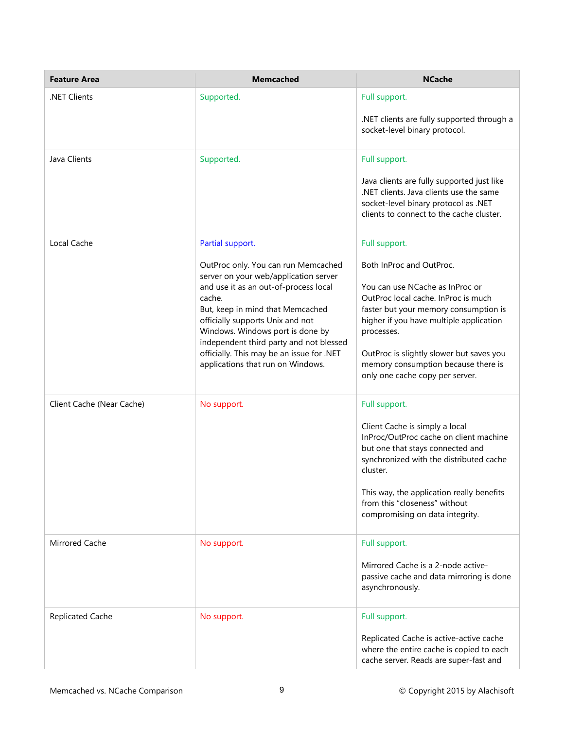| <b>Feature Area</b>       | <b>Memcached</b>                                                                                                                                                                                                                                                                                                                                                                             | <b>NCache</b>                                                                                                                                                                                                                                                                                                                               |
|---------------------------|----------------------------------------------------------------------------------------------------------------------------------------------------------------------------------------------------------------------------------------------------------------------------------------------------------------------------------------------------------------------------------------------|---------------------------------------------------------------------------------------------------------------------------------------------------------------------------------------------------------------------------------------------------------------------------------------------------------------------------------------------|
| .NET Clients              | Supported.                                                                                                                                                                                                                                                                                                                                                                                   | Full support.<br>.NET clients are fully supported through a<br>socket-level binary protocol.                                                                                                                                                                                                                                                |
| Java Clients              | Supported.                                                                                                                                                                                                                                                                                                                                                                                   | Full support.<br>Java clients are fully supported just like<br>.NET clients. Java clients use the same<br>socket-level binary protocol as .NET<br>clients to connect to the cache cluster.                                                                                                                                                  |
| Local Cache               | Partial support.<br>OutProc only. You can run Memcached<br>server on your web/application server<br>and use it as an out-of-process local<br>cache.<br>But, keep in mind that Memcached<br>officially supports Unix and not<br>Windows. Windows port is done by<br>independent third party and not blessed<br>officially. This may be an issue for .NET<br>applications that run on Windows. | Full support.<br>Both InProc and OutProc.<br>You can use NCache as InProc or<br>OutProc local cache. InProc is much<br>faster but your memory consumption is<br>higher if you have multiple application<br>processes.<br>OutProc is slightly slower but saves you<br>memory consumption because there is<br>only one cache copy per server. |
| Client Cache (Near Cache) | No support.                                                                                                                                                                                                                                                                                                                                                                                  | Full support.<br>Client Cache is simply a local<br>InProc/OutProc cache on client machine<br>but one that stays connected and<br>synchronized with the distributed cache<br>cluster.<br>This way, the application really benefits<br>from this "closeness" without<br>compromising on data integrity.                                       |
| <b>Mirrored Cache</b>     | No support.                                                                                                                                                                                                                                                                                                                                                                                  | Full support.<br>Mirrored Cache is a 2-node active-<br>passive cache and data mirroring is done<br>asynchronously.                                                                                                                                                                                                                          |
| <b>Replicated Cache</b>   | No support.                                                                                                                                                                                                                                                                                                                                                                                  | Full support.<br>Replicated Cache is active-active cache<br>where the entire cache is copied to each<br>cache server. Reads are super-fast and                                                                                                                                                                                              |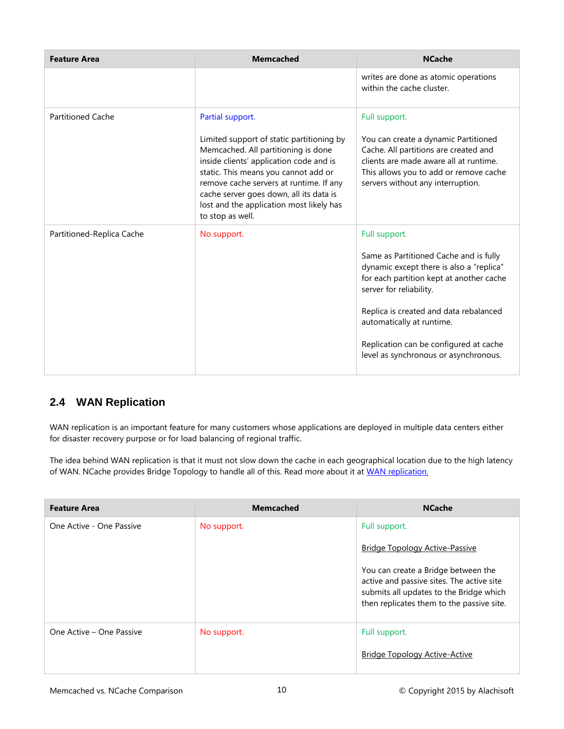| <b>Feature Area</b>       | <b>Memcached</b>                                                                                                                                                                                                                                                                                                                              | <b>NCache</b>                                                                                                                                                                                                                                                                                                                        |
|---------------------------|-----------------------------------------------------------------------------------------------------------------------------------------------------------------------------------------------------------------------------------------------------------------------------------------------------------------------------------------------|--------------------------------------------------------------------------------------------------------------------------------------------------------------------------------------------------------------------------------------------------------------------------------------------------------------------------------------|
|                           |                                                                                                                                                                                                                                                                                                                                               | writes are done as atomic operations<br>within the cache cluster.                                                                                                                                                                                                                                                                    |
| <b>Partitioned Cache</b>  | Partial support.<br>Limited support of static partitioning by<br>Memcached. All partitioning is done<br>inside clients' application code and is<br>static. This means you cannot add or<br>remove cache servers at runtime. If any<br>cache server goes down, all its data is<br>lost and the application most likely has<br>to stop as well. | Full support.<br>You can create a dynamic Partitioned<br>Cache. All partitions are created and<br>clients are made aware all at runtime.<br>This allows you to add or remove cache<br>servers without any interruption.                                                                                                              |
| Partitioned-Replica Cache | No support.                                                                                                                                                                                                                                                                                                                                   | Full support.<br>Same as Partitioned Cache and is fully<br>dynamic except there is also a "replica"<br>for each partition kept at another cache<br>server for reliability.<br>Replica is created and data rebalanced<br>automatically at runtime.<br>Replication can be configured at cache<br>level as synchronous or asynchronous. |

# <span id="page-11-0"></span>**2.4 WAN Replication**

WAN replication is an important feature for many customers whose applications are deployed in multiple data centers either for disaster recovery purpose or for load balancing of regional traffic.

The idea behind WAN replication is that it must not slow down the cache in each geographical location due to the high latency of WAN. NCache provides Bridge Topology to handle all of this. Read more about it at [WAN replication.](http://www.alachisoft.com/ncache/bridge-topology.html)

| <b>Feature Area</b>      | <b>Memcached</b> | <b>NCache</b>                                                                                                                                                            |
|--------------------------|------------------|--------------------------------------------------------------------------------------------------------------------------------------------------------------------------|
| One Active - One Passive | No support.      | Full support.                                                                                                                                                            |
|                          |                  | <b>Bridge Topology Active-Passive</b>                                                                                                                                    |
|                          |                  | You can create a Bridge between the<br>active and passive sites. The active site<br>submits all updates to the Bridge which<br>then replicates them to the passive site. |
| One Active – One Passive | No support.      | Full support.                                                                                                                                                            |
|                          |                  | <b>Bridge Topology Active-Active</b>                                                                                                                                     |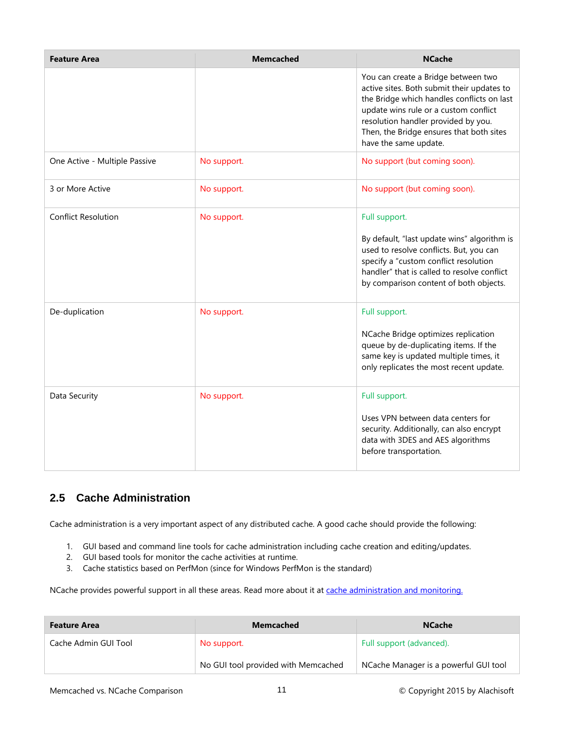| <b>Feature Area</b>           | <b>Memcached</b> | <b>NCache</b>                                                                                                                                                                                                                                                                        |
|-------------------------------|------------------|--------------------------------------------------------------------------------------------------------------------------------------------------------------------------------------------------------------------------------------------------------------------------------------|
|                               |                  | You can create a Bridge between two<br>active sites. Both submit their updates to<br>the Bridge which handles conflicts on last<br>update wins rule or a custom conflict<br>resolution handler provided by you.<br>Then, the Bridge ensures that both sites<br>have the same update. |
| One Active - Multiple Passive | No support.      | No support (but coming soon).                                                                                                                                                                                                                                                        |
| 3 or More Active              | No support.      | No support (but coming soon).                                                                                                                                                                                                                                                        |
| <b>Conflict Resolution</b>    | No support.      | Full support.<br>By default, "last update wins" algorithm is<br>used to resolve conflicts. But, you can<br>specify a "custom conflict resolution<br>handler" that is called to resolve conflict<br>by comparison content of both objects.                                            |
| De-duplication                | No support.      | Full support.<br>NCache Bridge optimizes replication<br>queue by de-duplicating items. If the<br>same key is updated multiple times, it<br>only replicates the most recent update.                                                                                                   |
| Data Security                 | No support.      | Full support.<br>Uses VPN between data centers for<br>security. Additionally, can also encrypt<br>data with 3DES and AES algorithms<br>before transportation.                                                                                                                        |

# <span id="page-12-0"></span>**2.5 Cache Administration**

Cache administration is a very important aspect of any distributed cache. A good cache should provide the following:

- 1. GUI based and command line tools for cache administration including cache creation and editing/updates.
- 2. GUI based tools for monitor the cache activities at runtime.
- 3. Cache statistics based on PerfMon (since for Windows PerfMon is the standard)

NCache provides powerful support in all these areas. Read more about it at [cache administration and monitoring.](http://www.alachisoft.com/ncache/admin-monitor-tools.html)

| <b>Feature Area</b>  | <b>Memcached</b>                    | <b>NCache</b>                         |
|----------------------|-------------------------------------|---------------------------------------|
| Cache Admin GUI Tool | No support.                         | Full support (advanced).              |
|                      | No GUI tool provided with Memcached | NCache Manager is a powerful GUI tool |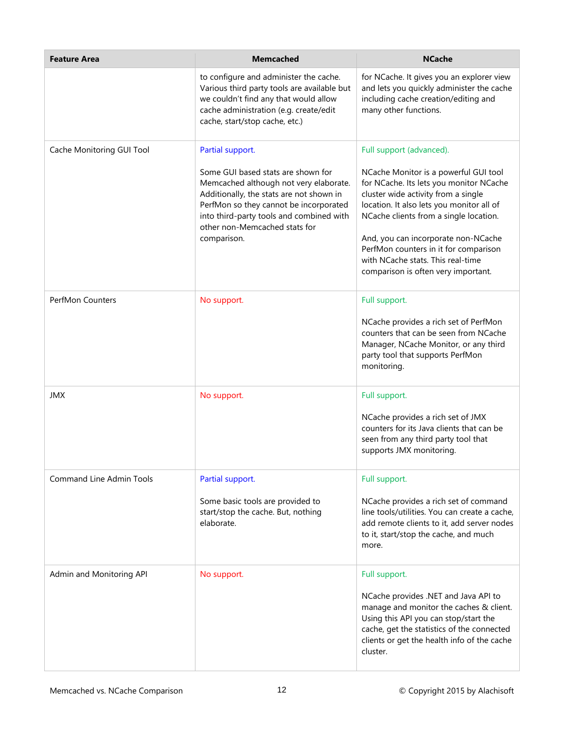| <b>Feature Area</b>             | <b>Memcached</b>                                                                                                                                                                                                                                               | <b>NCache</b>                                                                                                                                                                                                                                                                                                                                                              |
|---------------------------------|----------------------------------------------------------------------------------------------------------------------------------------------------------------------------------------------------------------------------------------------------------------|----------------------------------------------------------------------------------------------------------------------------------------------------------------------------------------------------------------------------------------------------------------------------------------------------------------------------------------------------------------------------|
|                                 | to configure and administer the cache.<br>Various third party tools are available but<br>we couldn't find any that would allow<br>cache administration (e.g. create/edit<br>cache, start/stop cache, etc.)                                                     | for NCache. It gives you an explorer view<br>and lets you quickly administer the cache<br>including cache creation/editing and<br>many other functions.                                                                                                                                                                                                                    |
| Cache Monitoring GUI Tool       | Partial support.                                                                                                                                                                                                                                               | Full support (advanced).                                                                                                                                                                                                                                                                                                                                                   |
|                                 | Some GUI based stats are shown for<br>Memcached although not very elaborate.<br>Additionally, the stats are not shown in<br>PerfMon so they cannot be incorporated<br>into third-party tools and combined with<br>other non-Memcached stats for<br>comparison. | NCache Monitor is a powerful GUI tool<br>for NCache. Its lets you monitor NCache<br>cluster wide activity from a single<br>location. It also lets you monitor all of<br>NCache clients from a single location.<br>And, you can incorporate non-NCache<br>PerfMon counters in it for comparison<br>with NCache stats. This real-time<br>comparison is often very important. |
| <b>PerfMon Counters</b>         | No support.                                                                                                                                                                                                                                                    | Full support.                                                                                                                                                                                                                                                                                                                                                              |
|                                 |                                                                                                                                                                                                                                                                | NCache provides a rich set of PerfMon<br>counters that can be seen from NCache<br>Manager, NCache Monitor, or any third<br>party tool that supports PerfMon<br>monitoring.                                                                                                                                                                                                 |
| <b>JMX</b>                      | No support.                                                                                                                                                                                                                                                    | Full support.                                                                                                                                                                                                                                                                                                                                                              |
|                                 |                                                                                                                                                                                                                                                                | NCache provides a rich set of JMX<br>counters for its Java clients that can be<br>seen from any third party tool that<br>supports JMX monitoring.                                                                                                                                                                                                                          |
| <b>Command Line Admin Tools</b> | Partial support.                                                                                                                                                                                                                                               | Full support.                                                                                                                                                                                                                                                                                                                                                              |
|                                 | Some basic tools are provided to<br>start/stop the cache. But, nothing<br>elaborate.                                                                                                                                                                           | NCache provides a rich set of command<br>line tools/utilities. You can create a cache,<br>add remote clients to it, add server nodes<br>to it, start/stop the cache, and much<br>more.                                                                                                                                                                                     |
| Admin and Monitoring API        | No support.                                                                                                                                                                                                                                                    | Full support.                                                                                                                                                                                                                                                                                                                                                              |
|                                 |                                                                                                                                                                                                                                                                | NCache provides .NET and Java API to<br>manage and monitor the caches & client.<br>Using this API you can stop/start the<br>cache, get the statistics of the connected<br>clients or get the health info of the cache<br>cluster.                                                                                                                                          |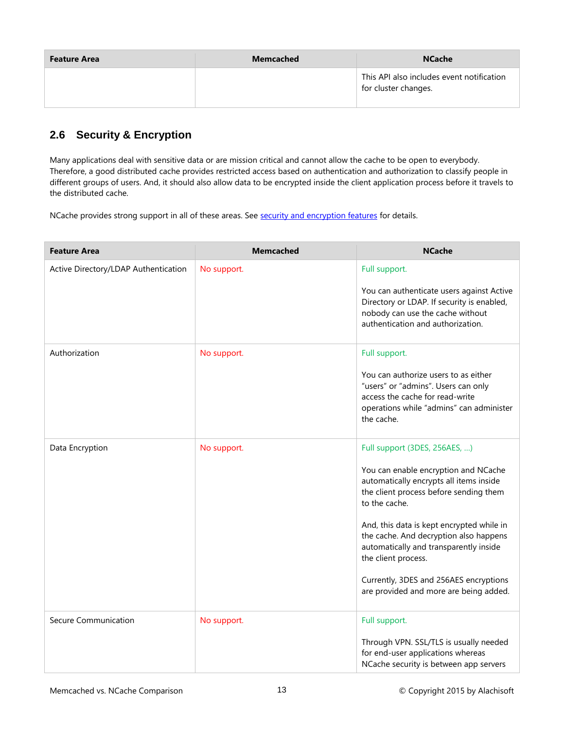| <b>Feature Area</b> | <b>Memcached</b> | <b>NCache</b>                                                     |
|---------------------|------------------|-------------------------------------------------------------------|
|                     |                  | This API also includes event notification<br>for cluster changes. |

# <span id="page-14-0"></span>**2.6 Security & Encryption**

Many applications deal with sensitive data or are mission critical and cannot allow the cache to be open to everybody. Therefore, a good distributed cache provides restricted access based on authentication and authorization to classify people in different groups of users. And, it should also allow data to be encrypted inside the client application process before it travels to the distributed cache.

NCache provides strong support in all of these areas. See [security and encryption features](http://www.alachisoft.com/ncache/security-encryption-features.html) for details.

| <b>Feature Area</b>                  | <b>Memcached</b> | <b>NCache</b>                                                                                                                                                                                                                                                                                                                                                                                                           |
|--------------------------------------|------------------|-------------------------------------------------------------------------------------------------------------------------------------------------------------------------------------------------------------------------------------------------------------------------------------------------------------------------------------------------------------------------------------------------------------------------|
| Active Directory/LDAP Authentication | No support.      | Full support.<br>You can authenticate users against Active<br>Directory or LDAP. If security is enabled,<br>nobody can use the cache without<br>authentication and authorization.                                                                                                                                                                                                                                       |
| Authorization                        | No support.      | Full support.<br>You can authorize users to as either<br>"users" or "admins". Users can only<br>access the cache for read-write<br>operations while "admins" can administer<br>the cache.                                                                                                                                                                                                                               |
| Data Encryption                      | No support.      | Full support (3DES, 256AES, )<br>You can enable encryption and NCache<br>automatically encrypts all items inside<br>the client process before sending them<br>to the cache.<br>And, this data is kept encrypted while in<br>the cache. And decryption also happens<br>automatically and transparently inside<br>the client process.<br>Currently, 3DES and 256AES encryptions<br>are provided and more are being added. |
| Secure Communication                 | No support.      | Full support.<br>Through VPN. SSL/TLS is usually needed<br>for end-user applications whereas<br>NCache security is between app servers                                                                                                                                                                                                                                                                                  |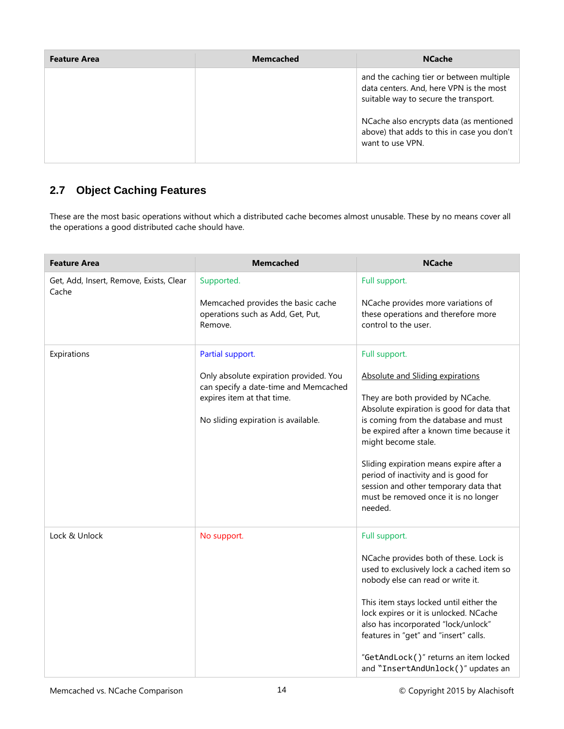| <b>Feature Area</b> | <b>Memcached</b> | <b>NCache</b>                                                                                                                |
|---------------------|------------------|------------------------------------------------------------------------------------------------------------------------------|
|                     |                  | and the caching tier or between multiple<br>data centers. And, here VPN is the most<br>suitable way to secure the transport. |
|                     |                  | NCache also encrypts data (as mentioned<br>above) that adds to this in case you don't<br>want to use VPN.                    |

# <span id="page-15-0"></span>**2.7 Object Caching Features**

These are the most basic operations without which a distributed cache becomes almost unusable. These by no means cover all the operations a good distributed cache should have.

| <b>Feature Area</b>                              | <b>Memcached</b>                                                                                                                                                         | <b>NCache</b>                                                                                                                                                                                                                                                                                                                                                                                                                 |
|--------------------------------------------------|--------------------------------------------------------------------------------------------------------------------------------------------------------------------------|-------------------------------------------------------------------------------------------------------------------------------------------------------------------------------------------------------------------------------------------------------------------------------------------------------------------------------------------------------------------------------------------------------------------------------|
| Get, Add, Insert, Remove, Exists, Clear<br>Cache | Supported.<br>Memcached provides the basic cache<br>operations such as Add, Get, Put,<br>Remove.                                                                         | Full support.<br>NCache provides more variations of<br>these operations and therefore more<br>control to the user.                                                                                                                                                                                                                                                                                                            |
| Expirations                                      | Partial support.<br>Only absolute expiration provided. You<br>can specify a date-time and Memcached<br>expires item at that time.<br>No sliding expiration is available. | Full support.<br>Absolute and Sliding expirations<br>They are both provided by NCache.<br>Absolute expiration is good for data that<br>is coming from the database and must<br>be expired after a known time because it<br>might become stale.<br>Sliding expiration means expire after a<br>period of inactivity and is good for<br>session and other temporary data that<br>must be removed once it is no longer<br>needed. |
| Lock & Unlock                                    | No support.                                                                                                                                                              | Full support.<br>NCache provides both of these. Lock is<br>used to exclusively lock a cached item so<br>nobody else can read or write it.<br>This item stays locked until either the<br>lock expires or it is unlocked. NCache<br>also has incorporated "lock/unlock"<br>features in "get" and "insert" calls.<br>"GetAndLock()" returns an item locked<br>and "InsertAndUnlock()" updates an                                 |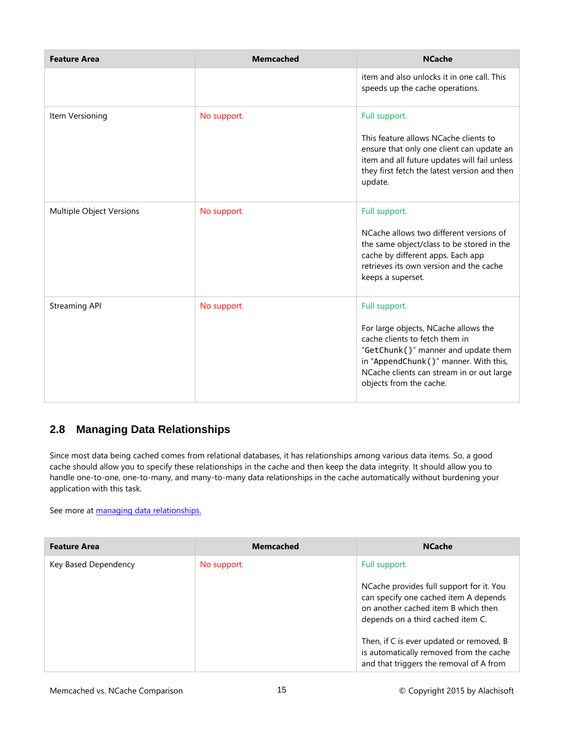| <b>Feature Area</b>      | <b>Memcached</b> | <b>NCache</b>                                                                                                                                                                                                                                   |
|--------------------------|------------------|-------------------------------------------------------------------------------------------------------------------------------------------------------------------------------------------------------------------------------------------------|
|                          |                  | item and also unlocks it in one call. This<br>speeds up the cache operations.                                                                                                                                                                   |
| Item Versioning          | No support.      | Full support.<br>This feature allows NCache clients to<br>ensure that only one client can update an<br>item and all future updates will fail unless<br>they first fetch the latest version and then<br>update.                                  |
| Multiple Object Versions | No support.      | Full support.<br>NCache allows two different versions of<br>the same object/class to be stored in the<br>cache by different apps. Each app<br>retrieves its own version and the cache<br>keeps a superset.                                      |
| <b>Streaming API</b>     | No support.      | Full support.<br>For large objects, NCache allows the<br>cache clients to fetch them in<br>"GetChunk()" manner and update them<br>in "AppendChunk()" manner. With this,<br>NCache clients can stream in or out large<br>objects from the cache. |

#### <span id="page-16-0"></span>**2.8 Managing Data Relationships**

Since most data being cached comes from relational databases, it has relationships among various data items. So, a good cache should allow you to specify these relationships in the cache and then keep the data integrity. It should allow you to handle one-to-one, one-to-many, and many-to-many data relationships in the cache automatically without burdening your application with this task.

See more at **managing data relationships.** 

| <b>Feature Area</b>  | <b>Memcached</b> | <b>NCache</b>                                                                                                                                                 |
|----------------------|------------------|---------------------------------------------------------------------------------------------------------------------------------------------------------------|
| Key Based Dependency | No support.      | Full support.                                                                                                                                                 |
|                      |                  | NCache provides full support for it. You<br>can specify one cached item A depends<br>on another cached item B which then<br>depends on a third cached item C. |
|                      |                  | Then, if C is ever updated or removed, B<br>is automatically removed from the cache<br>and that triggers the removal of A from                                |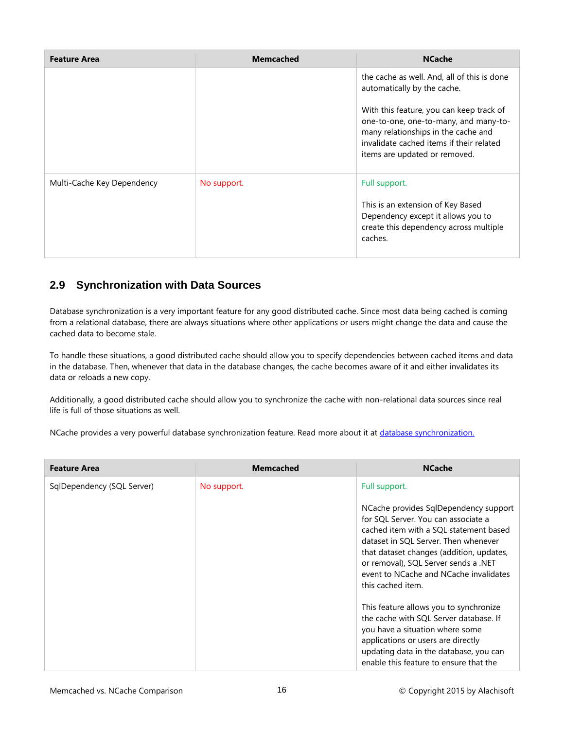| <b>Feature Area</b>        | <b>Memcached</b> | <b>NCache</b>                                                                                                                                                                                         |
|----------------------------|------------------|-------------------------------------------------------------------------------------------------------------------------------------------------------------------------------------------------------|
|                            |                  | the cache as well. And, all of this is done<br>automatically by the cache.                                                                                                                            |
|                            |                  | With this feature, you can keep track of<br>one-to-one, one-to-many, and many-to-<br>many relationships in the cache and<br>invalidate cached items if their related<br>items are updated or removed. |
| Multi-Cache Key Dependency | No support.      | Full support.<br>This is an extension of Key Based<br>Dependency except it allows you to<br>create this dependency across multiple<br>caches.                                                         |

#### <span id="page-17-0"></span>**2.9 Synchronization with Data Sources**

Database synchronization is a very important feature for any good distributed cache. Since most data being cached is coming from a relational database, there are always situations where other applications or users might change the data and cause the cached data to become stale.

To handle these situations, a good distributed cache should allow you to specify dependencies between cached items and data in the database. Then, whenever that data in the database changes, the cache becomes aware of it and either invalidates its data or reloads a new copy.

Additionally, a good distributed cache should allow you to synchronize the cache with non-relational data sources since real life is full of those situations as well.

NCache provides a very powerful database synchronization feature. Read more about it at [database synchronization.](http://www.alachisoft.com/ncache/database-synchronization.html)

| <b>Feature Area</b>        | <b>Memcached</b> | <b>NCache</b>                                                                                                                                                                                                                                                                                                     |
|----------------------------|------------------|-------------------------------------------------------------------------------------------------------------------------------------------------------------------------------------------------------------------------------------------------------------------------------------------------------------------|
| SqlDependency (SQL Server) | No support.      | Full support.                                                                                                                                                                                                                                                                                                     |
|                            |                  | NCache provides SqlDependency support<br>for SQL Server. You can associate a<br>cached item with a SQL statement based<br>dataset in SQL Server. Then whenever<br>that dataset changes (addition, updates,<br>or removal), SQL Server sends a .NET<br>event to NCache and NCache invalidates<br>this cached item. |
|                            |                  | This feature allows you to synchronize<br>the cache with SQL Server database. If<br>you have a situation where some<br>applications or users are directly<br>updating data in the database, you can<br>enable this feature to ensure that the                                                                     |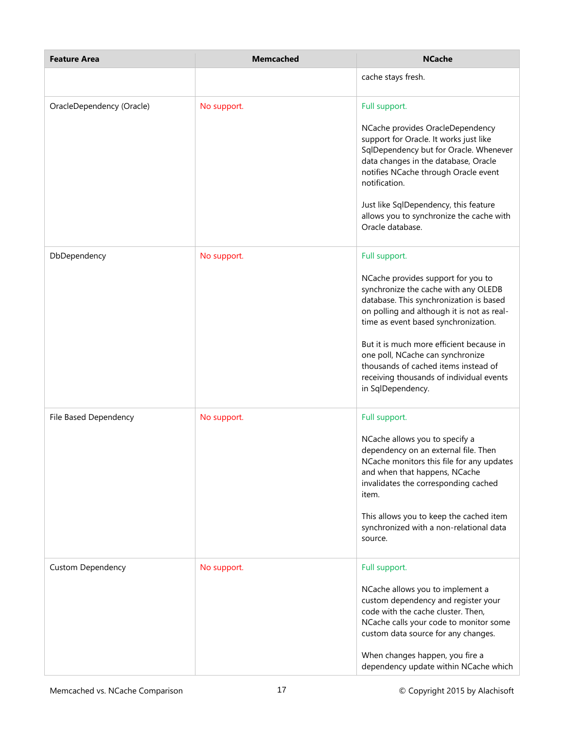| <b>Feature Area</b>       | <b>Memcached</b> | <b>NCache</b>                                                                                                                                                                                                                                                                                                                                                                                                         |
|---------------------------|------------------|-----------------------------------------------------------------------------------------------------------------------------------------------------------------------------------------------------------------------------------------------------------------------------------------------------------------------------------------------------------------------------------------------------------------------|
|                           |                  | cache stays fresh.                                                                                                                                                                                                                                                                                                                                                                                                    |
| OracleDependency (Oracle) | No support.      | Full support.<br>NCache provides OracleDependency<br>support for Oracle. It works just like<br>SqlDependency but for Oracle. Whenever<br>data changes in the database, Oracle<br>notifies NCache through Oracle event<br>notification.<br>Just like SqlDependency, this feature<br>allows you to synchronize the cache with<br>Oracle database.                                                                       |
| DbDependency              | No support.      | Full support.<br>NCache provides support for you to<br>synchronize the cache with any OLEDB<br>database. This synchronization is based<br>on polling and although it is not as real-<br>time as event based synchronization.<br>But it is much more efficient because in<br>one poll, NCache can synchronize<br>thousands of cached items instead of<br>receiving thousands of individual events<br>in SqlDependency. |
| File Based Dependency     | No support.      | Full support.<br>NCache allows you to specify a<br>dependency on an external file. Then<br>NCache monitors this file for any updates<br>and when that happens, NCache<br>invalidates the corresponding cached<br>item.<br>This allows you to keep the cached item<br>synchronized with a non-relational data<br>source.                                                                                               |
| <b>Custom Dependency</b>  | No support.      | Full support.<br>NCache allows you to implement a<br>custom dependency and register your<br>code with the cache cluster. Then,<br>NCache calls your code to monitor some<br>custom data source for any changes.<br>When changes happen, you fire a<br>dependency update within NCache which                                                                                                                           |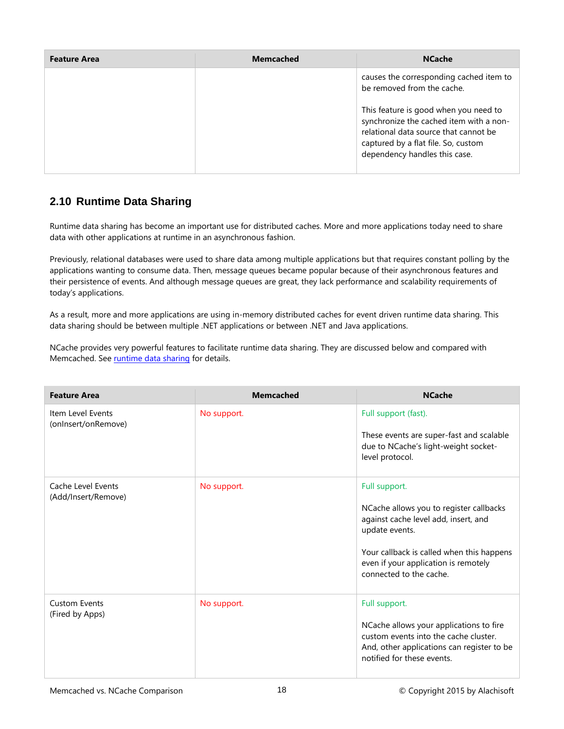| <b>Feature Area</b> | <b>Memcached</b> | <b>NCache</b>                                                                                                                                                                                     |
|---------------------|------------------|---------------------------------------------------------------------------------------------------------------------------------------------------------------------------------------------------|
|                     |                  | causes the corresponding cached item to<br>be removed from the cache.                                                                                                                             |
|                     |                  | This feature is good when you need to<br>synchronize the cached item with a non-<br>relational data source that cannot be<br>captured by a flat file. So, custom<br>dependency handles this case. |

### <span id="page-19-0"></span>**2.10 Runtime Data Sharing**

Runtime data sharing has become an important use for distributed caches. More and more applications today need to share data with other applications at runtime in an asynchronous fashion.

Previously, relational databases were used to share data among multiple applications but that requires constant polling by the applications wanting to consume data. Then, message queues became popular because of their asynchronous features and their persistence of events. And although message queues are great, they lack performance and scalability requirements of today's applications.

As a result, more and more applications are using in-memory distributed caches for event driven runtime data sharing. This data sharing should be between multiple .NET applications or between .NET and Java applications.

NCache provides very powerful features to facilitate runtime data sharing. They are discussed below and compared with Memcached. See [runtime data sharing](http://www.alachisoft.com/ncache/run-time-data-sharing.html) for details.

| <b>Feature Area</b>                       | <b>Memcached</b> | <b>NCache</b>                                                                                                                                                                                                                      |
|-------------------------------------------|------------------|------------------------------------------------------------------------------------------------------------------------------------------------------------------------------------------------------------------------------------|
| Item Level Events<br>(onInsert/onRemove)  | No support.      | Full support (fast).<br>These events are super-fast and scalable<br>due to NCache's light-weight socket-<br>level protocol.                                                                                                        |
| Cache Level Events<br>(Add/Insert/Remove) | No support.      | Full support.<br>NCache allows you to register callbacks<br>against cache level add, insert, and<br>update events.<br>Your callback is called when this happens<br>even if your application is remotely<br>connected to the cache. |
| <b>Custom Events</b><br>(Fired by Apps)   | No support.      | Full support.<br>NCache allows your applications to fire<br>custom events into the cache cluster.<br>And, other applications can register to be<br>notified for these events.                                                      |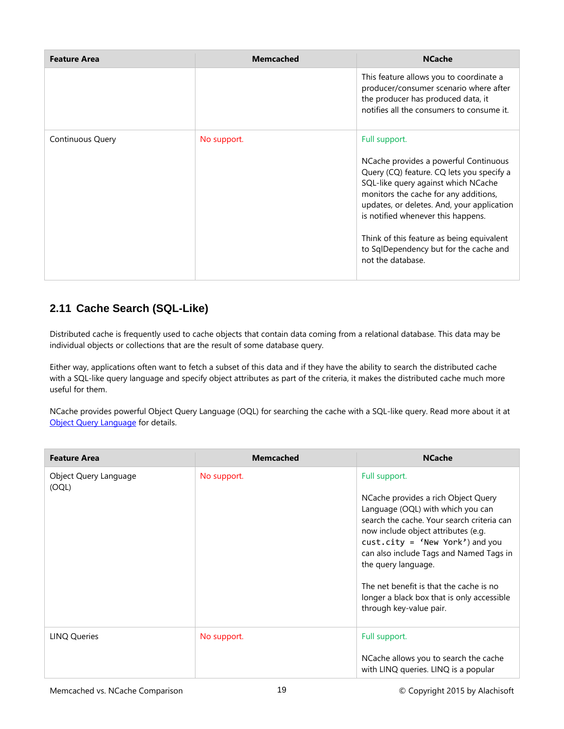| <b>Feature Area</b> | <b>Memcached</b> | <b>NCache</b>                                                                                                                                                                                                                                                                                                                                                                       |
|---------------------|------------------|-------------------------------------------------------------------------------------------------------------------------------------------------------------------------------------------------------------------------------------------------------------------------------------------------------------------------------------------------------------------------------------|
|                     |                  | This feature allows you to coordinate a<br>producer/consumer scenario where after<br>the producer has produced data, it<br>notifies all the consumers to consume it.                                                                                                                                                                                                                |
| Continuous Query    | No support.      | Full support.<br>NCache provides a powerful Continuous<br>Query (CQ) feature. CQ lets you specify a<br>SQL-like query against which NCache<br>monitors the cache for any additions,<br>updates, or deletes. And, your application<br>is notified whenever this happens.<br>Think of this feature as being equivalent<br>to SqlDependency but for the cache and<br>not the database. |

### <span id="page-20-0"></span>**2.11 Cache Search (SQL-Like)**

Distributed cache is frequently used to cache objects that contain data coming from a relational database. This data may be individual objects or collections that are the result of some database query.

Either way, applications often want to fetch a subset of this data and if they have the ability to search the distributed cache with a SQL-like query language and specify object attributes as part of the criteria, it makes the distributed cache much more useful for them.

NCache provides powerful Object Query Language (OQL) for searching the cache with a SQL-like query. Read more about it at [Object Query Language](http://www.alachisoft.com/resources/articles/object-query-language-dist-cache.html) for details.

| <b>Feature Area</b>            | <b>Memcached</b> | <b>NCache</b>                                                                                                                                                                                                                                                                                                                                                                                             |
|--------------------------------|------------------|-----------------------------------------------------------------------------------------------------------------------------------------------------------------------------------------------------------------------------------------------------------------------------------------------------------------------------------------------------------------------------------------------------------|
| Object Query Language<br>(OQL) | No support.      | Full support.<br>NCache provides a rich Object Query<br>Language (OQL) with which you can<br>search the cache. Your search criteria can<br>now include object attributes (e.g.<br>$cust.city = 'New York')$ and you<br>can also include Tags and Named Tags in<br>the query language.<br>The net benefit is that the cache is no<br>longer a black box that is only accessible<br>through key-value pair. |
| <b>LINQ Queries</b>            | No support.      | Full support.<br>NCache allows you to search the cache<br>with LINQ queries. LINQ is a popular                                                                                                                                                                                                                                                                                                            |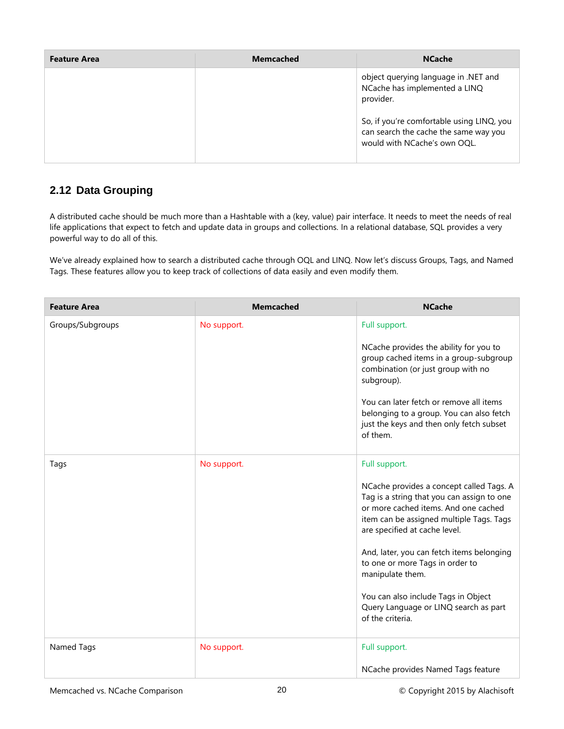| <b>Feature Area</b> | <b>Memcached</b> | <b>NCache</b>                                                                                                      |
|---------------------|------------------|--------------------------------------------------------------------------------------------------------------------|
|                     |                  | object querying language in .NET and<br>NCache has implemented a LINQ<br>provider.                                 |
|                     |                  | So, if you're comfortable using LINQ, you<br>can search the cache the same way you<br>would with NCache's own OQL. |

### <span id="page-21-0"></span>**2.12 Data Grouping**

A distributed cache should be much more than a Hashtable with a (key, value) pair interface. It needs to meet the needs of real life applications that expect to fetch and update data in groups and collections. In a relational database, SQL provides a very powerful way to do all of this.

We've already explained how to search a distributed cache through OQL and LINQ. Now let's discuss Groups, Tags, and Named Tags. These features allow you to keep track of collections of data easily and even modify them.

| <b>Feature Area</b> | <b>Memcached</b> | <b>NCache</b>                                                                                                                                                                                                                                                                                                                                                                                                                        |
|---------------------|------------------|--------------------------------------------------------------------------------------------------------------------------------------------------------------------------------------------------------------------------------------------------------------------------------------------------------------------------------------------------------------------------------------------------------------------------------------|
| Groups/Subgroups    | No support.      | Full support.<br>NCache provides the ability for you to<br>group cached items in a group-subgroup<br>combination (or just group with no<br>subgroup).<br>You can later fetch or remove all items<br>belonging to a group. You can also fetch<br>just the keys and then only fetch subset<br>of them.                                                                                                                                 |
| Tags                | No support.      | Full support.<br>NCache provides a concept called Tags. A<br>Tag is a string that you can assign to one<br>or more cached items. And one cached<br>item can be assigned multiple Tags. Tags<br>are specified at cache level.<br>And, later, you can fetch items belonging<br>to one or more Tags in order to<br>manipulate them.<br>You can also include Tags in Object<br>Query Language or LINQ search as part<br>of the criteria. |
| Named Tags          | No support.      | Full support.<br>NCache provides Named Tags feature                                                                                                                                                                                                                                                                                                                                                                                  |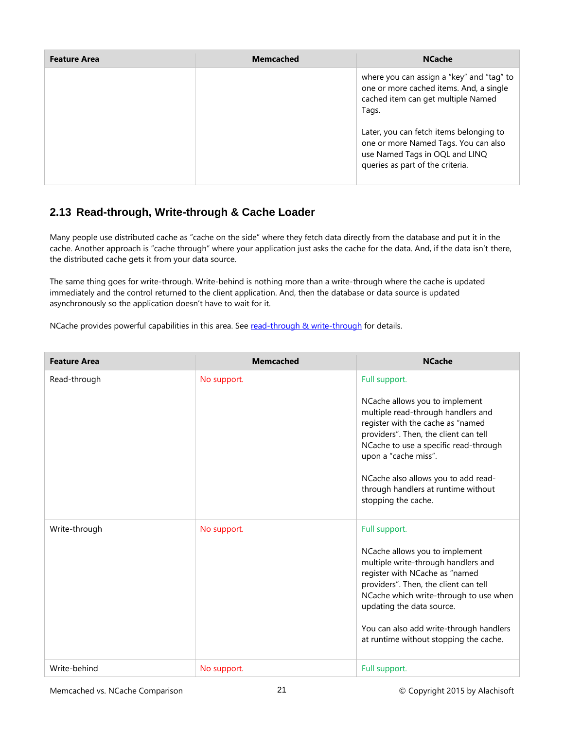| <b>Feature Area</b> | <b>Memcached</b> | <b>NCache</b>                                                                                                                                         |
|---------------------|------------------|-------------------------------------------------------------------------------------------------------------------------------------------------------|
|                     |                  | where you can assign a "key" and "tag" to<br>one or more cached items. And, a single<br>cached item can get multiple Named<br>Tags.                   |
|                     |                  | Later, you can fetch items belonging to<br>one or more Named Tags. You can also<br>use Named Tags in OQL and LINQ<br>queries as part of the criteria. |

### <span id="page-22-0"></span>**2.13 Read-through, Write-through & Cache Loader**

Many people use distributed cache as "cache on the side" where they fetch data directly from the database and put it in the cache. Another approach is "cache through" where your application just asks the cache for the data. And, if the data isn't there, the distributed cache gets it from your data source.

The same thing goes for write-through. Write-behind is nothing more than a write-through where the cache is updated immediately and the control returned to the client application. And, then the database or data source is updated asynchronously so the application doesn't have to wait for it.

NCache provides powerful capabilities in this area. See [read-through & write-through](http://www.alachisoft.com/resources/articles/readthru-writethru-writebehind.html) for details.

| <b>Feature Area</b> | <b>Memcached</b> | <b>NCache</b>                                                                                                                                                                                                                                                                                                                             |
|---------------------|------------------|-------------------------------------------------------------------------------------------------------------------------------------------------------------------------------------------------------------------------------------------------------------------------------------------------------------------------------------------|
| Read-through        | No support.      | Full support.<br>NCache allows you to implement<br>multiple read-through handlers and<br>register with the cache as "named<br>providers". Then, the client can tell<br>NCache to use a specific read-through<br>upon a "cache miss".<br>NCache also allows you to add read-<br>through handlers at runtime without<br>stopping the cache. |
| Write-through       | No support.      | Full support.<br>NCache allows you to implement<br>multiple write-through handlers and<br>register with NCache as "named<br>providers". Then, the client can tell<br>NCache which write-through to use when<br>updating the data source.<br>You can also add write-through handlers<br>at runtime without stopping the cache.             |
| Write-behind        | No support.      | Full support.                                                                                                                                                                                                                                                                                                                             |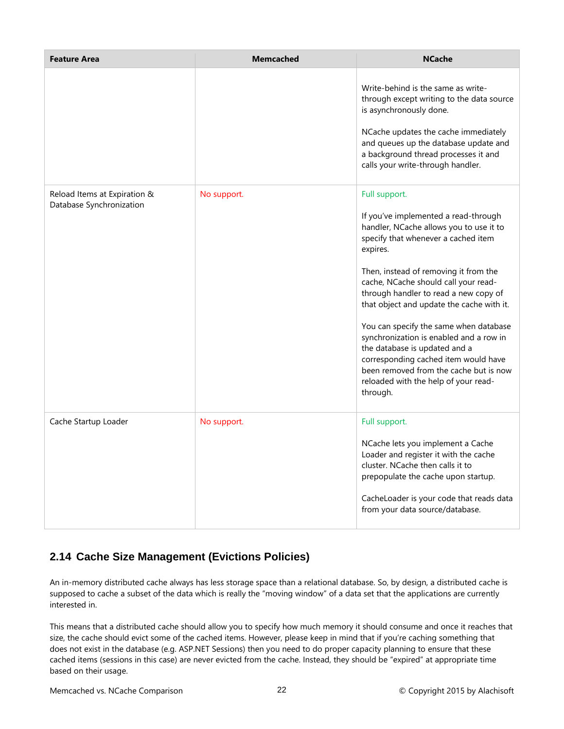| <b>Feature Area</b>                                      | <b>Memcached</b> | <b>NCache</b>                                                                                                                                                                                                                                                                                                                                                                                                                                                                                                                                                                          |
|----------------------------------------------------------|------------------|----------------------------------------------------------------------------------------------------------------------------------------------------------------------------------------------------------------------------------------------------------------------------------------------------------------------------------------------------------------------------------------------------------------------------------------------------------------------------------------------------------------------------------------------------------------------------------------|
|                                                          |                  | Write-behind is the same as write-<br>through except writing to the data source<br>is asynchronously done.<br>NCache updates the cache immediately<br>and queues up the database update and<br>a background thread processes it and<br>calls your write-through handler.                                                                                                                                                                                                                                                                                                               |
| Reload Items at Expiration &<br>Database Synchronization | No support.      | Full support.<br>If you've implemented a read-through<br>handler, NCache allows you to use it to<br>specify that whenever a cached item<br>expires.<br>Then, instead of removing it from the<br>cache, NCache should call your read-<br>through handler to read a new copy of<br>that object and update the cache with it.<br>You can specify the same when database<br>synchronization is enabled and a row in<br>the database is updated and a<br>corresponding cached item would have<br>been removed from the cache but is now<br>reloaded with the help of your read-<br>through. |
| Cache Startup Loader                                     | No support.      | Full support.<br>NCache lets you implement a Cache<br>Loader and register it with the cache<br>cluster. NCache then calls it to<br>prepopulate the cache upon startup.<br>CacheLoader is your code that reads data<br>from your data source/database.                                                                                                                                                                                                                                                                                                                                  |

# <span id="page-23-0"></span>**2.14 Cache Size Management (Evictions Policies)**

An in-memory distributed cache always has less storage space than a relational database. So, by design, a distributed cache is supposed to cache a subset of the data which is really the "moving window" of a data set that the applications are currently interested in.

This means that a distributed cache should allow you to specify how much memory it should consume and once it reaches that size, the cache should evict some of the cached items. However, please keep in mind that if you're caching something that does not exist in the database (e.g. ASP.NET Sessions) then you need to do proper capacity planning to ensure that these cached items (sessions in this case) are never evicted from the cache. Instead, they should be "expired" at appropriate time based on their usage.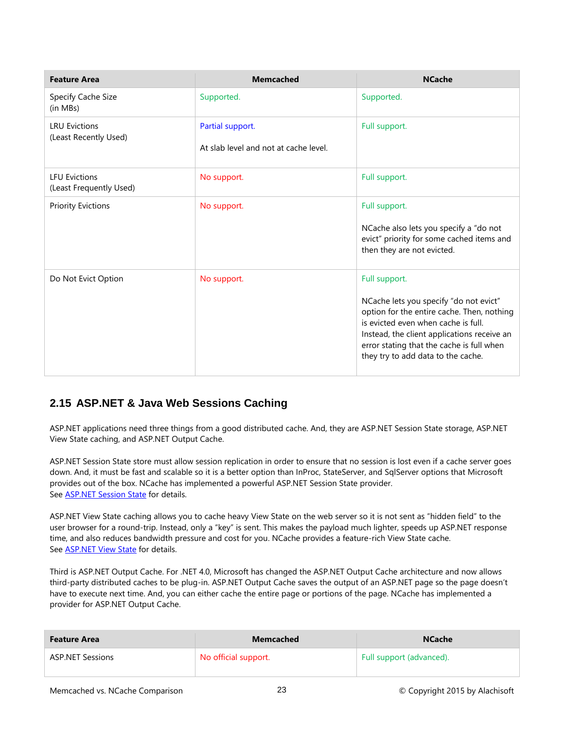| <b>Feature Area</b>                             | <b>Memcached</b>                                          | <b>NCache</b>                                                                                                                                                                                                                                                                  |
|-------------------------------------------------|-----------------------------------------------------------|--------------------------------------------------------------------------------------------------------------------------------------------------------------------------------------------------------------------------------------------------------------------------------|
| Specify Cache Size<br>(in MBs)                  | Supported.                                                | Supported.                                                                                                                                                                                                                                                                     |
| <b>LRU Evictions</b><br>(Least Recently Used)   | Partial support.<br>At slab level and not at cache level. | Full support.                                                                                                                                                                                                                                                                  |
| <b>LFU Evictions</b><br>(Least Frequently Used) | No support.                                               | Full support.                                                                                                                                                                                                                                                                  |
| <b>Priority Evictions</b>                       | No support.                                               | Full support.<br>NCache also lets you specify a "do not<br>evict" priority for some cached items and<br>then they are not evicted.                                                                                                                                             |
| Do Not Evict Option                             | No support.                                               | Full support.<br>NCache lets you specify "do not evict"<br>option for the entire cache. Then, nothing<br>is evicted even when cache is full.<br>Instead, the client applications receive an<br>error stating that the cache is full when<br>they try to add data to the cache. |

#### <span id="page-24-0"></span>**2.15 ASP.NET & Java Web Sessions Caching**

ASP.NET applications need three things from a good distributed cache. And, they are ASP.NET Session State storage, ASP.NET View State caching, and ASP.NET Output Cache.

ASP.NET Session State store must allow session replication in order to ensure that no session is lost even if a cache server goes down. And, it must be fast and scalable so it is a better option than InProc, StateServer, and SqlServer options that Microsoft provides out of the box. NCache has implemented a powerful ASP.NET Session State provider. See [ASP.NET Session State](http://www.alachisoft.com/ncache/session-index.html) for details.

ASP.NET View State caching allows you to cache heavy View State on the web server so it is not sent as "hidden field" to the user browser for a round-trip. Instead, only a "key" is sent. This makes the payload much lighter, speeds up ASP.NET response time, and also reduces bandwidth pressure and cost for you. NCache provides a feature-rich View State cache. See [ASP.NET View State](http://www.alachisoft.com/ncache/viewstate-caching.html) for details.

Third is ASP.NET Output Cache. For .NET 4.0, Microsoft has changed the ASP.NET Output Cache architecture and now allows third-party distributed caches to be plug-in. ASP.NET Output Cache saves the output of an ASP.NET page so the page doesn't have to execute next time. And, you can either cache the entire page or portions of the page. NCache has implemented a provider for ASP.NET Output Cache.

| <b>Feature Area</b>     | Memcached            | <b>NCache</b>            |
|-------------------------|----------------------|--------------------------|
| <b>ASP.NET Sessions</b> | No official support. | Full support (advanced). |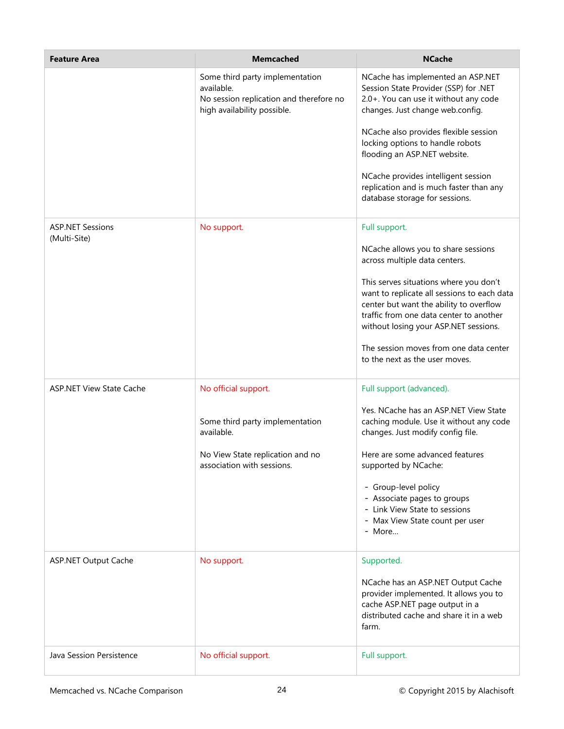| <b>Feature Area</b>                     | <b>Memcached</b>                                                                                                        | <b>NCache</b>                                                                                                                                                                                                        |
|-----------------------------------------|-------------------------------------------------------------------------------------------------------------------------|----------------------------------------------------------------------------------------------------------------------------------------------------------------------------------------------------------------------|
|                                         | Some third party implementation<br>available.<br>No session replication and therefore no<br>high availability possible. | NCache has implemented an ASP.NET<br>Session State Provider (SSP) for .NET<br>2.0+. You can use it without any code<br>changes. Just change web.config.                                                              |
|                                         |                                                                                                                         | NCache also provides flexible session<br>locking options to handle robots<br>flooding an ASP.NET website.                                                                                                            |
|                                         |                                                                                                                         | NCache provides intelligent session<br>replication and is much faster than any<br>database storage for sessions.                                                                                                     |
| <b>ASP.NET Sessions</b><br>(Multi-Site) | No support.                                                                                                             | Full support.                                                                                                                                                                                                        |
|                                         |                                                                                                                         | NCache allows you to share sessions<br>across multiple data centers.                                                                                                                                                 |
|                                         |                                                                                                                         | This serves situations where you don't<br>want to replicate all sessions to each data<br>center but want the ability to overflow<br>traffic from one data center to another<br>without losing your ASP.NET sessions. |
|                                         |                                                                                                                         | The session moves from one data center<br>to the next as the user moves.                                                                                                                                             |
| <b>ASP.NET View State Cache</b>         | No official support.                                                                                                    | Full support (advanced).                                                                                                                                                                                             |
|                                         | Some third party implementation<br>available.                                                                           | Yes. NCache has an ASP.NET View State<br>caching module. Use it without any code<br>changes. Just modify config file.                                                                                                |
|                                         | No View State replication and no<br>association with sessions.                                                          | Here are some advanced features<br>supported by NCache:                                                                                                                                                              |
|                                         |                                                                                                                         | - Group-level policy<br>- Associate pages to groups<br>- Link View State to sessions<br>- Max View State count per user<br>- More                                                                                    |
| <b>ASP.NET Output Cache</b>             | No support.                                                                                                             | Supported.                                                                                                                                                                                                           |
|                                         |                                                                                                                         | NCache has an ASP.NET Output Cache<br>provider implemented. It allows you to<br>cache ASP.NET page output in a<br>distributed cache and share it in a web<br>farm.                                                   |
| Java Session Persistence                | No official support.                                                                                                    | Full support.                                                                                                                                                                                                        |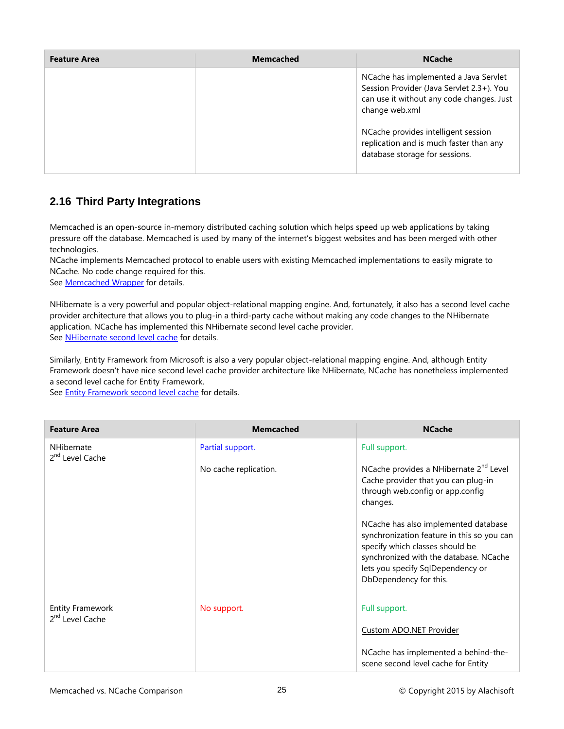| <b>Feature Area</b> | Memcached | <b>NCache</b>                                                                                                                                     |
|---------------------|-----------|---------------------------------------------------------------------------------------------------------------------------------------------------|
|                     |           | NCache has implemented a Java Servlet<br>Session Provider (Java Servlet 2.3+). You<br>can use it without any code changes. Just<br>change web.xml |
|                     |           | NCache provides intelligent session<br>replication and is much faster than any<br>database storage for sessions.                                  |

### <span id="page-26-0"></span>**2.16 Third Party Integrations**

Memcached is an open-source in-memory distributed caching solution which helps speed up web applications by taking pressure off the database. Memcached is used by many of the internet's biggest websites and has been merged with other technologies.

NCache implements Memcached protocol to enable users with existing Memcached implementations to easily migrate to NCache. No code change required for this.

See **[Memcached Wrapper](http://www.alachisoft.com/ncache/memcached-wrapper.html)** for details.

NHibernate is a very powerful and popular object-relational mapping engine. And, fortunately, it also has a second level cache provider architecture that allows you to plug-in a third-party cache without making any code changes to the NHibernate application. NCache has implemented this NHibernate second level cache provider. See [NHibernate second level cache](http://www.alachisoft.com/ncache/nhibernate-l2cache-index.html) for details.

Similarly, Entity Framework from Microsoft is also a very popular object-relational mapping engine. And, although Entity Framework doesn't have nice second level cache provider architecture like NHibernate, NCache has nonetheless implemented a second level cache for Entity Framework.

See [Entity Framework second level cache](http://www.alachisoft.com/ncache/entity-framework.html) for details.

| <b>Feature Area</b>                                    | <b>Memcached</b>      | <b>NCache</b>                                                                                                                                                                                                                  |
|--------------------------------------------------------|-----------------------|--------------------------------------------------------------------------------------------------------------------------------------------------------------------------------------------------------------------------------|
| <b>NHibernate</b><br>2 <sup>nd</sup> Level Cache       | Partial support.      | Full support.                                                                                                                                                                                                                  |
|                                                        | No cache replication. | NCache provides a NHibernate 2 <sup>nd</sup> Level<br>Cache provider that you can plug-in<br>through web.config or app.config<br>changes.                                                                                      |
|                                                        |                       | NCache has also implemented database<br>synchronization feature in this so you can<br>specify which classes should be<br>synchronized with the database. NCache<br>lets you specify SqlDependency or<br>DbDependency for this. |
| <b>Entity Framework</b><br>2 <sup>nd</sup> Level Cache | No support.           | Full support.                                                                                                                                                                                                                  |
|                                                        |                       | <b>Custom ADO.NET Provider</b>                                                                                                                                                                                                 |
|                                                        |                       | NCache has implemented a behind-the-<br>scene second level cache for Entity                                                                                                                                                    |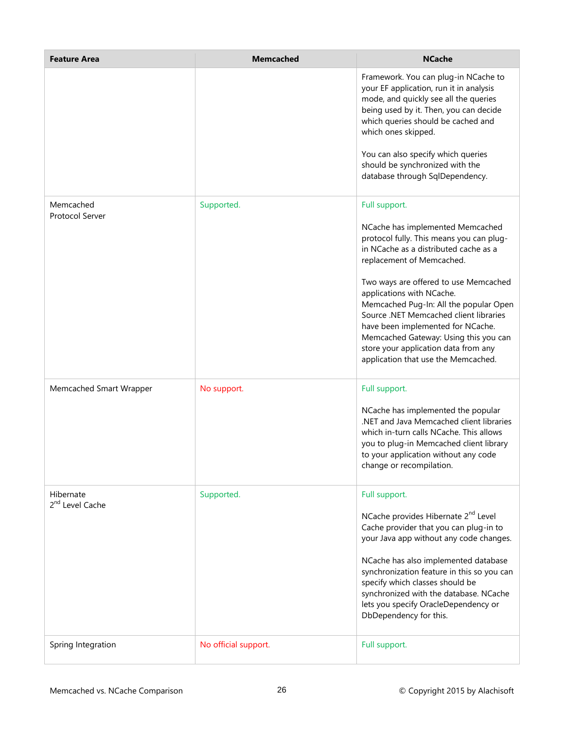| <b>Feature Area</b>                      | <b>Memcached</b>     | <b>NCache</b>                                                                                                                                                                                                                                                                                                                                                                              |
|------------------------------------------|----------------------|--------------------------------------------------------------------------------------------------------------------------------------------------------------------------------------------------------------------------------------------------------------------------------------------------------------------------------------------------------------------------------------------|
|                                          |                      | Framework. You can plug-in NCache to<br>your EF application, run it in analysis<br>mode, and quickly see all the queries<br>being used by it. Then, you can decide<br>which queries should be cached and<br>which ones skipped.<br>You can also specify which queries                                                                                                                      |
|                                          |                      | should be synchronized with the<br>database through SqlDependency.                                                                                                                                                                                                                                                                                                                         |
| Memcached<br>Protocol Server             | Supported.           | Full support.<br>NCache has implemented Memcached<br>protocol fully. This means you can plug-<br>in NCache as a distributed cache as a                                                                                                                                                                                                                                                     |
|                                          |                      | replacement of Memcached.<br>Two ways are offered to use Memcached<br>applications with NCache.<br>Memcached Pug-In: All the popular Open<br>Source .NET Memcached client libraries<br>have been implemented for NCache.<br>Memcached Gateway: Using this you can<br>store your application data from any<br>application that use the Memcached.                                           |
| Memcached Smart Wrapper                  | No support.          | Full support.<br>NCache has implemented the popular<br>.NET and Java Memcached client libraries<br>which in-turn calls NCache. This allows<br>you to plug-in Memcached client library<br>to your application without any code<br>change or recompilation.                                                                                                                                  |
| Hibernate<br>2 <sup>nd</sup> Level Cache | Supported.           | Full support.<br>NCache provides Hibernate 2 <sup>nd</sup> Level<br>Cache provider that you can plug-in to<br>your Java app without any code changes.<br>NCache has also implemented database<br>synchronization feature in this so you can<br>specify which classes should be<br>synchronized with the database. NCache<br>lets you specify OracleDependency or<br>DbDependency for this. |
| Spring Integration                       | No official support. | Full support.                                                                                                                                                                                                                                                                                                                                                                              |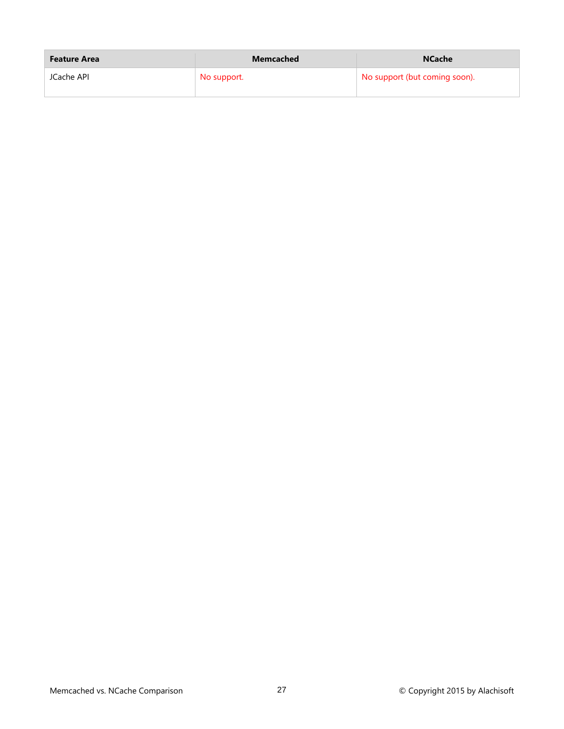| <b>Feature Area</b> | <b>Memcached</b> | <b>NCache</b>                 |
|---------------------|------------------|-------------------------------|
| JCache API          | No support.      | No support (but coming soon). |